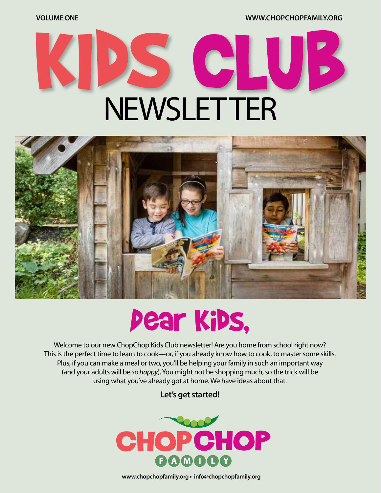**VOLUME ONE WWW.CHOPCHOPFAMILY.ORG**

# G NEWSLETTER



## Dear Kids,

Welcome to our new ChopChop Kids Club newsletter! Are you home from school right now? This is the perfect time to learn to cook—or, if you already know how to cook, to master some skills. Plus, if you can make a meal or two, you'll be helping your family in such an important way (and your adults will be *so happy*). You might not be shopping much, so the trick will be using what you've already got at home. We have ideas about that.

**Let's get started!**



**www.chopchopfamily.org • info@chopchopfamily.org**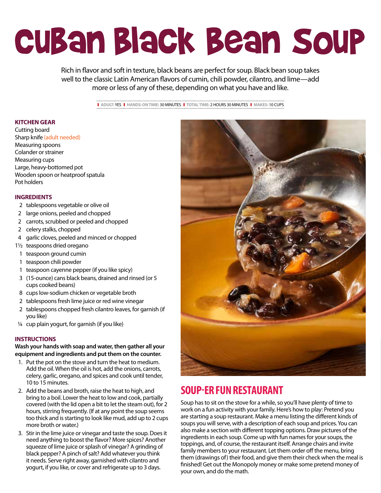## Cuban Black Bean Soup

Rich in flavor and soft in texture, black beans are perfect for soup. Black bean soup takes well to the classic Latin American flavors of cumin, chili powder, cilantro, and lime—add more or less of any of these, depending on what you have and like.

❚ **ADULT:** YES❚ **HANDS-ON TIME:** 30 MINUTES❚ **TOTAL TIME:** 2 HOURS 30 MINUTES❚ **MAKES:** 10 CUPS

#### **KITCHEN GEAR**

Cutting board Sharp knife (adult needed) Measuring spoons Colander or strainer Measuring cups Large, heavy-bottomed pot Wooden spoon or heatproof spatula Pot holders

#### **INGREDIENTS**

- 2 tablespoons vegetable or olive oil
- 2 large onions, peeled and chopped
- 2 carrots, scrubbed or peeled and chopped
- 2 celery stalks, chopped
- 4 garlic cloves, peeled and minced or chopped
- 11/2 teaspoons dried oregano
- 1 teaspoon ground cumin
- 1 teaspoon chili powder
- 1 teaspoon cayenne pepper (if you like spicy)
- 3 (15-ounce) cans black beans, drained and rinsed (or 5 cups cooked beans)
- 8 cups low-sodium chicken or vegetable broth
- 2 tablespoons fresh lime juice or red wine vinegar
- 2 tablespoons chopped fresh cilantro leaves, for garnish (if you like)
- ¼ cup plain yogurt, for garnish (if you like)

#### **INSTRUCTIONS**

### **Wash your hands with soap and water, then gather all your equipment and ingredients and put them on the counter.**

- 1. Put the pot on the stove and turn the heat to medium. Add the oil. When the oil is hot, add the onions, carrots, celery, garlic, oregano, and spices and cook until tender, 10 to 15 minutes.
- 2. Add the beans and broth, raise the heat to high, and bring to a boil. Lower the heat to low and cook, partially covered (with the lid open a bit to let the steam out), for 2 hours, stirring frequently. (If at any point the soup seems too thick and is starting to look like mud, add up to 2 cups more broth or water.)
- 3. Stir in the lime juice or vinegar and taste the soup. Does it need anything to boost the flavor? More spices? Another squeeze of lime juice or splash of vinegar? A grinding of black pepper? A pinch of salt? Add whatever you think it needs. Serve right away, garnished with cilantro and yogurt, if you like, or cover and refrigerate up to 3 days.



## **SOUP-ER FUN RESTAURANT**

Soup has to sit on the stove for a while, so you'll have plenty of time to work on a fun activity with your family. Here's how to play: Pretend you are starting a soup restaurant. Make a menu listing the different kinds of soups you will serve, with a description of each soup and prices. You can also make a section with different topping options. Draw pictures of the ingredients in each soup. Come up with fun names for your soups, the toppings, and, of course, the restaurant itself. Arrange chairs and invite family members to your restaurant. Let them order off the menu, bring them (drawings of) their food, and give them their check when the meal is finished! Get out the Monopoly money or make some pretend money of your own, and do the math.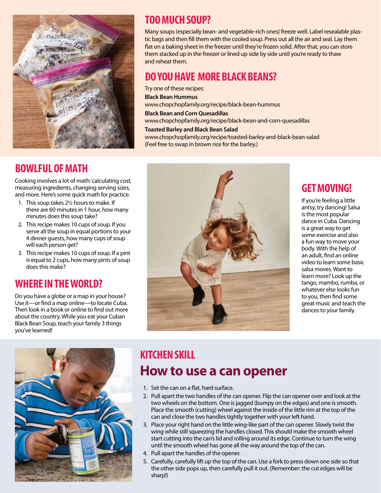

## **BOWLFUL OF MATH**

Cooking involves a lot of math: calculating cost, measuring ingredients, changing serving sizes, and more. Here's some quick math for practice.

- 1. This soup takes 2½ hours to make. If there are 60 minutes in 1 hour, how many minutes does this soup take?
- 2. This recipe makes 10 cups of soup. If you serve all the soup in equal portions to your 4 dinner guests, how many cups of soup will each person get?
- 3. This recipe makes 10 cups of soup. If a pint is equal to 2 cups, how many pints of soup does this make?

## **WHERE IN THE WORLD?**

Do you have a globe or a map in your house? Use it—or find a map online—to locate Cuba. Then look in a book or online to find out more about the country. While you eat your Cuban Black Bean Soup, teach your family 3 things you've learned!



## **TOO MUCH SOUP?**

Many soups (especially bean- and vegetable-rich ones) freeze well. Label resealable plastic bags and then fill them with the cooled soup. Press out all the air and seal. Lay them flat on a baking sheet in the freezer until they're frozen solid. After that, you can store them stacked up in the freezer or lined up side by side until you're ready to thaw and reheat them.

## **DO YOU HAVE MORE BLACK BEANS?**

Try one of these recipes: **Black Bean Hummus** www.chopchopfamily.org/recipe/black-bean-hummus **Black Bean and Corn Quesadillas** www.chopchopfamily.org/recipe/black-bean-and-corn-quesadillas

### **Toasted Barley and Black Bean Salad**

www.chopchopfamily.org/recipe/toasted-barley-and-black-bean-salad (Feel free to swap in brown rice for the barley.)



## **GET MOVING!**

If you're feeling a little antsy, try dancing! Salsa is the most popular dance in Cuba. Dancing is a great way to get some exercise and also a fun way to move your body. With the help of an adult, find an online video to learn some basic salsa moves. Want to learn more? Look up the tango, mambo, rumba, or whatever else looks fun to you, then find some great music and teach the dances to your family.

## **KITCHEN SKILL How to use a can opener**

- 1. Set the can on a flat, hard surface.
- 2. Pull apart the two handles of the can opener. Flip the can opener over and look at the two wheels on the bottom. One is jagged (bumpy on the edges) and one is smooth. Place the smooth (cutting) wheel against the inside of the little rim at the top of the can and close the two handles tightly together with your left hand.
- 3. Place your right hand on the little wing-like part of the can opener. Slowly twist the wing while still squeezing the handles closed. This should make the smooth wheel start cutting into the can's lid and rolling around its edge. Continue to turn the wing until the smooth wheel has gone all the way around the top of the can.
- 4. Pull apart the handles of the opener.
- 5. Carefully, carefully lift up the top of the can. Use a fork to press down one side so that the other side pops up, then carefully pull it out. (Remember: the cut edges will be sharp!)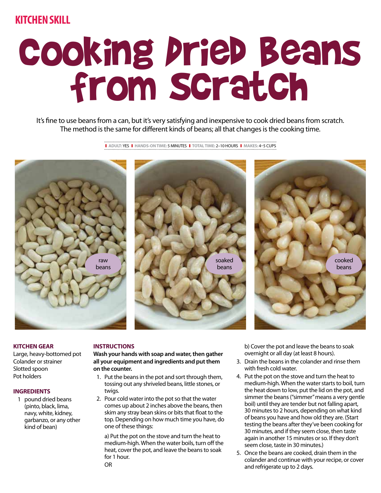### **KITCHEN SKILL**

## Cooking Dried Beans from Scratch

It's fine to use beans from a can, but it's very satisfying and inexpensive to cook dried beans from scratch. The method is the same for different kinds of beans; all that changes is the cooking time.

❚ **ADULT:** YES❚ **HANDS-ON TIME:** 5 MINUTES❚ **TOTAL TIME:** 2–10 HOURS❚ **MAKES:** 4–5 CUPS







#### **KITCHEN GEAR**

Large, heavy-bottomed pot Colander or strainer Slotted spoon Pot holders

#### **INGREDIENTS**

1 pound dried beans (pinto, black, lima, navy, white, kidney, garbanzo, or any other kind of bean)

#### **INSTRUCTIONS**

**Wash your hands with soap and water, then gather all your equipment and ingredients and put them on the counter.**

- 1. Put the beans in the pot and sort through them, tossing out any shriveled beans, little stones, or twigs.
- 2. Pour cold water into the pot so that the water comes up about 2 inches above the beans, then skim any stray bean skins or bits that float to the top. Depending on how much time you have, do one of these things:

 a) Put the pot on the stove and turn the heat to medium-high. When the water boils, turn off the heat, cover the pot, and leave the beans to soak for 1 hour.

 b) Cover the pot and leave the beans to soak overnight or all day (at least 8 hours).

- 3. Drain the beans in the colander and rinse them with fresh cold water.
- 4. Put the pot on the stove and turn the heat to medium-high. When the water starts to boil, turn the heat down to low, put the lid on the pot, and simmer the beans ("simmer" means a very gentle boil) until they are tender but not falling apart, 30 minutes to 2 hours, depending on what kind of beans you have and how old they are. (Start testing the beans after they've been cooking for 30 minutes, and if they seem close, then taste again in another 15 minutes or so. If they don't seem close, taste in 30 minutes.)
- 5. Once the beans are cooked, drain them in the colander and continue with your recipe, or cover and refrigerate up to 2 days.

OR